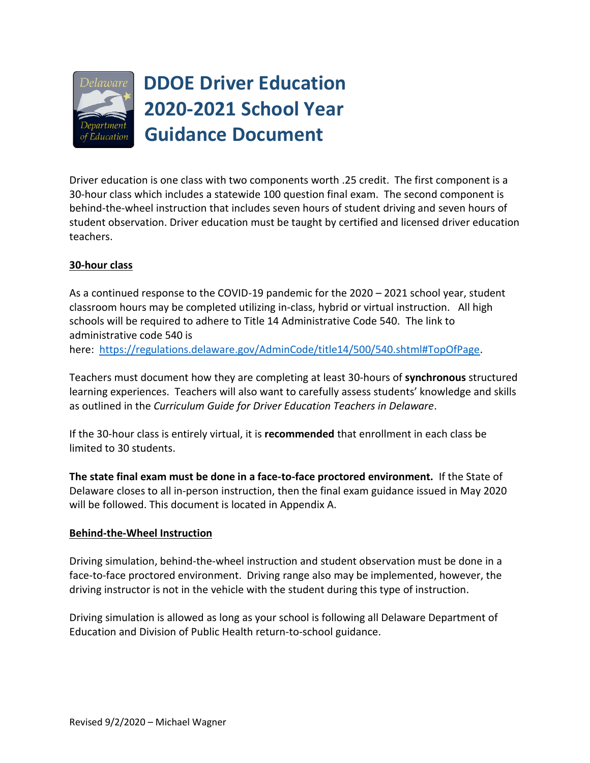

# **DDOE Driver Education 2020-2021 School Year Guidance Document**

Driver education is one class with two components worth .25 credit. The first component is a 30-hour class which includes a statewide 100 question final exam. The second component is behind-the-wheel instruction that includes seven hours of student driving and seven hours of student observation. Driver education must be taught by certified and licensed driver education teachers.

# **30-hour class**

As a continued response to the COVID-19 pandemic for the 2020 – 2021 school year, student classroom hours may be completed utilizing in-class, hybrid or virtual instruction. All high schools will be required to adhere to Title 14 Administrative Code 540. The link to administrative code 540 is

here: [https://regulations.delaware.gov/AdminCode/title14/500/540.shtml#TopOfPage.](https://regulations.delaware.gov/AdminCode/title14/500/540.shtml#TopOfPage)

Teachers must document how they are completing at least 30-hours of **synchronous** structured learning experiences. Teachers will also want to carefully assess students' knowledge and skills as outlined in the *Curriculum Guide for Driver Education Teachers in Delaware*.

If the 30-hour class is entirely virtual, it is **recommended** that enrollment in each class be limited to 30 students.

**The state final exam must be done in a face-to-face proctored environment.** If the State of Delaware closes to all in-person instruction, then the final exam guidance issued in May 2020 will be followed. This document is located in Appendix A.

# **Behind-the-Wheel Instruction**

Driving simulation, behind-the-wheel instruction and student observation must be done in a face-to-face proctored environment. Driving range also may be implemented, however, the driving instructor is not in the vehicle with the student during this type of instruction.

Driving simulation is allowed as long as your school is following all Delaware Department of Education and Division of Public Health return-to-school guidance.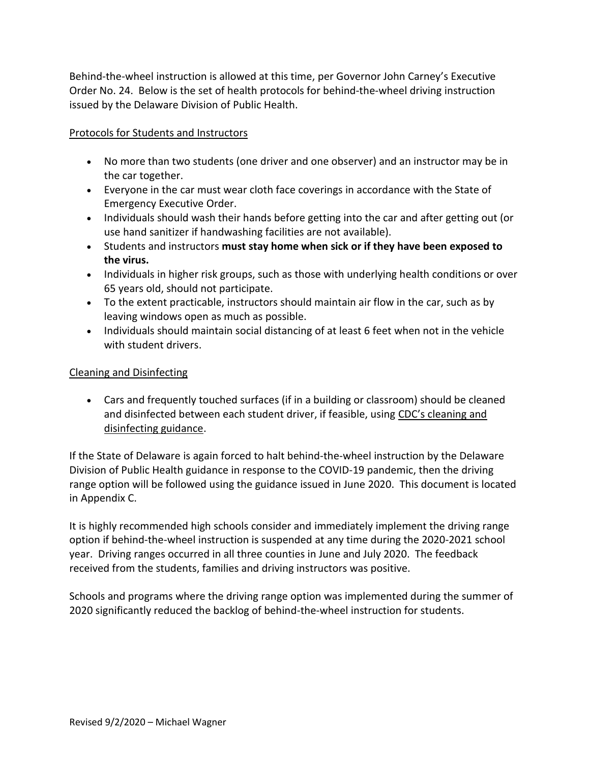Behind-the-wheel instruction is allowed at this time, per Governor John Carney's Executive Order No. 24. Below is the set of health protocols for behind-the-wheel driving instruction issued by the Delaware Division of Public Health.

## Protocols for Students and Instructors

- No more than two students (one driver and one observer) and an instructor may be in the car together.
- Everyone in the car must wear cloth face coverings in accordance with the State of Emergency Executive Order.
- Individuals should wash their hands before getting into the car and after getting out (or use hand sanitizer if handwashing facilities are not available).
- Students and instructors **must stay home when sick or if they have been exposed to the virus.**
- Individuals in higher risk groups, such as those with underlying health conditions or over 65 years old, should not participate.
- To the extent practicable, instructors should maintain air flow in the car, such as by leaving windows open as much as possible.
- Individuals should maintain social distancing of at least 6 feet when not in the vehicle with student drivers.

### Cleaning and Disinfecting

 Cars and frequently touched surfaces (if in a building or classroom) should be cleaned and disinfected between each student driver, if feasible, using C[DC's cleaning and](https://nam02.safelinks.protection.outlook.com/?url=https%3A%2F%2Fwww.cdc.gov%2Fcoronavirus%2F2019-ncov%2Fcommunity%2Fpdf%2FReopening_America_Guidance.pdf&data=01%7C01%7Cmichael.wagner%40doe.k12.de.us%7C239ee253569f4053a68e08d814975836%7C21b6d6867f08438dbdc6bd214d829bd2%7C1&sdata=QVYqR%2FGU%2FHcP5aMvf%2BsbWa6JOLpwGgvueIazKdRjgXM%3D&reserved=0)  [disinfecting guidance.](https://nam02.safelinks.protection.outlook.com/?url=https%3A%2F%2Fwww.cdc.gov%2Fcoronavirus%2F2019-ncov%2Fcommunity%2Fpdf%2FReopening_America_Guidance.pdf&data=01%7C01%7Cmichael.wagner%40doe.k12.de.us%7C239ee253569f4053a68e08d814975836%7C21b6d6867f08438dbdc6bd214d829bd2%7C1&sdata=QVYqR%2FGU%2FHcP5aMvf%2BsbWa6JOLpwGgvueIazKdRjgXM%3D&reserved=0)

If the State of Delaware is again forced to halt behind-the-wheel instruction by the Delaware Division of Public Health guidance in response to the COVID-19 pandemic, then the driving range option will be followed using the guidance issued in June 2020. This document is located in Appendix C.

It is highly recommended high schools consider and immediately implement the driving range option if behind-the-wheel instruction is suspended at any time during the 2020-2021 school year. Driving ranges occurred in all three counties in June and July 2020. The feedback received from the students, families and driving instructors was positive.

Schools and programs where the driving range option was implemented during the summer of 2020 significantly reduced the backlog of behind-the-wheel instruction for students.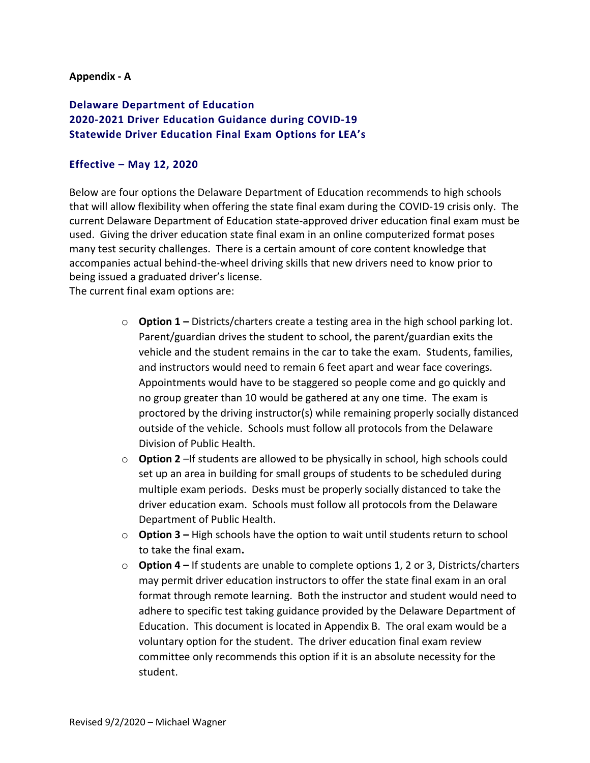#### **Appendix - A**

# **Delaware Department of Education 2020-2021 Driver Education Guidance during COVID-19 Statewide Driver Education Final Exam Options for LEA's**

#### **Effective – May 12, 2020**

Below are four options the Delaware Department of Education recommends to high schools that will allow flexibility when offering the state final exam during the COVID-19 crisis only. The current Delaware Department of Education state-approved driver education final exam must be used. Giving the driver education state final exam in an online computerized format poses many test security challenges. There is a certain amount of core content knowledge that accompanies actual behind-the-wheel driving skills that new drivers need to know prior to being issued a graduated driver's license.

The current final exam options are:

- o **Option 1 –** Districts/charters create a testing area in the high school parking lot. Parent/guardian drives the student to school, the parent/guardian exits the vehicle and the student remains in the car to take the exam. Students, families, and instructors would need to remain 6 feet apart and wear face coverings. Appointments would have to be staggered so people come and go quickly and no group greater than 10 would be gathered at any one time. The exam is proctored by the driving instructor(s) while remaining properly socially distanced outside of the vehicle. Schools must follow all protocols from the Delaware Division of Public Health.
- o **Option 2** –If students are allowed to be physically in school, high schools could set up an area in building for small groups of students to be scheduled during multiple exam periods. Desks must be properly socially distanced to take the driver education exam. Schools must follow all protocols from the Delaware Department of Public Health.
- o **Option 3 –** High schools have the option to wait until students return to school to take the final exam**.**
- o **Option 4 –** If students are unable to complete options 1, 2 or 3, Districts/charters may permit driver education instructors to offer the state final exam in an oral format through remote learning. Both the instructor and student would need to adhere to specific test taking guidance provided by the Delaware Department of Education. This document is located in Appendix B. The oral exam would be a voluntary option for the student. The driver education final exam review committee only recommends this option if it is an absolute necessity for the student.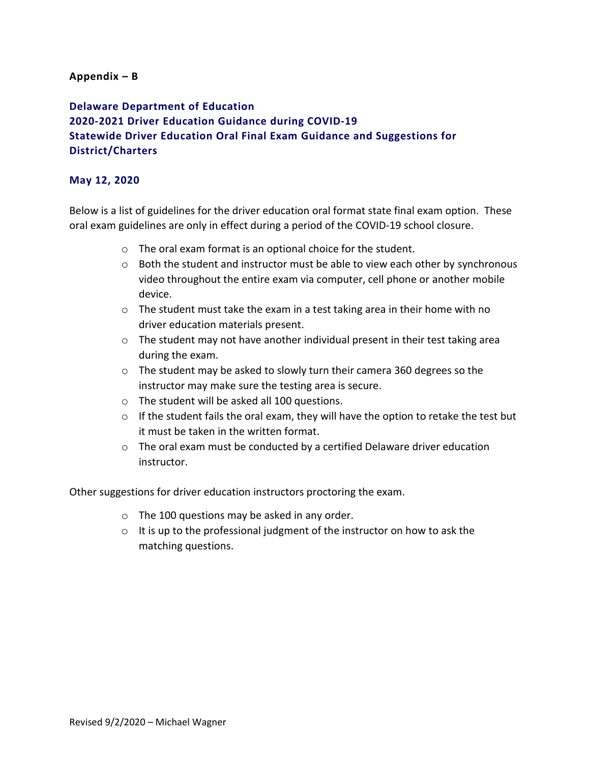#### **Appendix – B**

**Delaware Department of Education 2020-2021 Driver Education Guidance during COVID-19 Statewide Driver Education Oral Final Exam Guidance and Suggestions for District/Charters**

#### **May 12, 2020**

Below is a list of guidelines for the driver education oral format state final exam option. These oral exam guidelines are only in effect during a period of the COVID-19 school closure.

- o The oral exam format is an optional choice for the student.
- $\circ$  Both the student and instructor must be able to view each other by synchronous video throughout the entire exam via computer, cell phone or another mobile device.
- $\circ$  The student must take the exam in a test taking area in their home with no driver education materials present.
- $\circ$  The student may not have another individual present in their test taking area during the exam.
- o The student may be asked to slowly turn their camera 360 degrees so the instructor may make sure the testing area is secure.
- o The student will be asked all 100 questions.
- o If the student fails the oral exam, they will have the option to retake the test but it must be taken in the written format.
- $\circ$  The oral exam must be conducted by a certified Delaware driver education instructor.

Other suggestions for driver education instructors proctoring the exam.

- o The 100 questions may be asked in any order.
- $\circ$  It is up to the professional judgment of the instructor on how to ask the matching questions.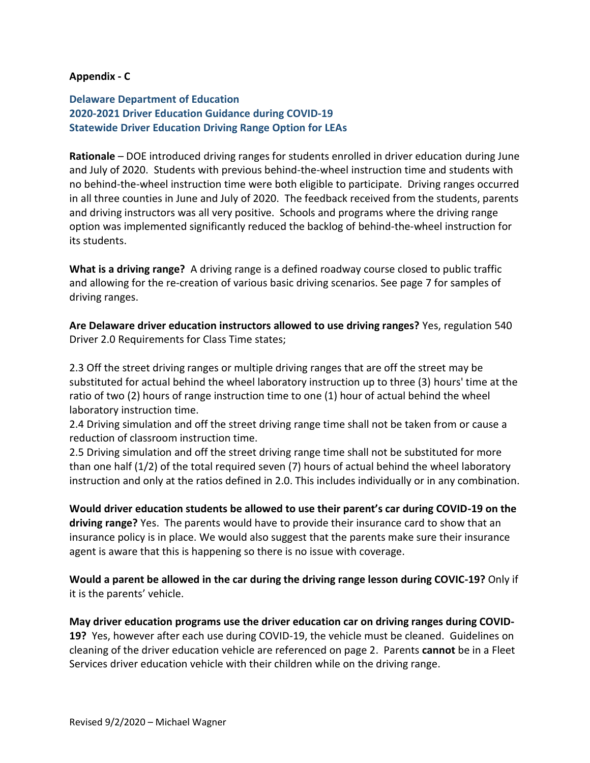#### **Appendix - C**

# **Delaware Department of Education 2020-2021 Driver Education Guidance during COVID-19 Statewide Driver Education Driving Range Option for LEAs**

**Rationale** – DOE introduced driving ranges for students enrolled in driver education during June and July of 2020. Students with previous behind-the-wheel instruction time and students with no behind-the-wheel instruction time were both eligible to participate. Driving ranges occurred in all three counties in June and July of 2020. The feedback received from the students, parents and driving instructors was all very positive. Schools and programs where the driving range option was implemented significantly reduced the backlog of behind-the-wheel instruction for its students.

**What is a driving range?** A driving range is a defined roadway course closed to public traffic and allowing for the re-creation of various basic driving scenarios. See page 7 for samples of driving ranges.

**Are Delaware driver education instructors allowed to use driving ranges?** Yes, regulation 540 Driver 2.0 Requirements for Class Time states;

2.3 Off the street driving ranges or multiple driving ranges that are off the street may be substituted for actual behind the wheel laboratory instruction up to three (3) hours' time at the ratio of two (2) hours of range instruction time to one (1) hour of actual behind the wheel laboratory instruction time.

2.4 Driving simulation and off the street driving range time shall not be taken from or cause a reduction of classroom instruction time.

2.5 Driving simulation and off the street driving range time shall not be substituted for more than one half (1/2) of the total required seven (7) hours of actual behind the wheel laboratory instruction and only at the ratios defined in 2.0. This includes individually or in any combination.

**Would driver education students be allowed to use their parent's car during COVID-19 on the driving range?** Yes. The parents would have to provide their insurance card to show that an insurance policy is in place. We would also suggest that the parents make sure their insurance agent is aware that this is happening so there is no issue with coverage.

**Would a parent be allowed in the car during the driving range lesson during COVIC-19?** Only if it is the parents' vehicle.

**May driver education programs use the driver education car on driving ranges during COVID-19?** Yes, however after each use during COVID-19, the vehicle must be cleaned. Guidelines on cleaning of the driver education vehicle are referenced on page 2. Parents **cannot** be in a Fleet Services driver education vehicle with their children while on the driving range.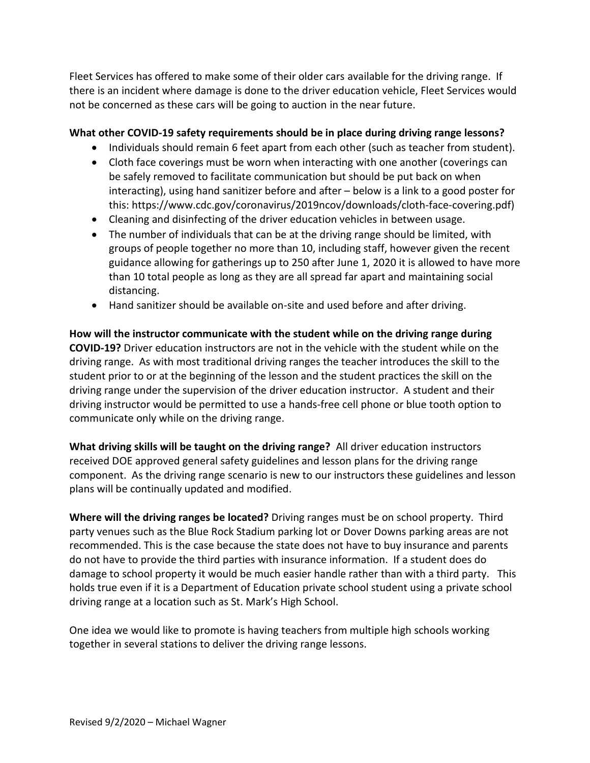Fleet Services has offered to make some of their older cars available for the driving range. If there is an incident where damage is done to the driver education vehicle, Fleet Services would not be concerned as these cars will be going to auction in the near future.

# **What other COVID-19 safety requirements should be in place during driving range lessons?**

- Individuals should remain 6 feet apart from each other (such as teacher from student).
- Cloth face coverings must be worn when interacting with one another (coverings can be safely removed to facilitate communication but should be put back on when interacting), using hand sanitizer before and after – below is a link to a good poster for this: https://www.cdc.gov/coronavirus/2019ncov/downloads/cloth-face-covering.pdf)
- Cleaning and disinfecting of the driver education vehicles in between usage.
- The number of individuals that can be at the driving range should be limited, with groups of people together no more than 10, including staff, however given the recent guidance allowing for gatherings up to 250 after June 1, 2020 it is allowed to have more than 10 total people as long as they are all spread far apart and maintaining social distancing.
- Hand sanitizer should be available on-site and used before and after driving.

**How will the instructor communicate with the student while on the driving range during COVID-19?** Driver education instructors are not in the vehicle with the student while on the driving range. As with most traditional driving ranges the teacher introduces the skill to the student prior to or at the beginning of the lesson and the student practices the skill on the driving range under the supervision of the driver education instructor. A student and their driving instructor would be permitted to use a hands-free cell phone or blue tooth option to communicate only while on the driving range.

**What driving skills will be taught on the driving range?** All driver education instructors received DOE approved general safety guidelines and lesson plans for the driving range component. As the driving range scenario is new to our instructors these guidelines and lesson plans will be continually updated and modified.

**Where will the driving ranges be located?** Driving ranges must be on school property. Third party venues such as the Blue Rock Stadium parking lot or Dover Downs parking areas are not recommended. This is the case because the state does not have to buy insurance and parents do not have to provide the third parties with insurance information. If a student does do damage to school property it would be much easier handle rather than with a third party. This holds true even if it is a Department of Education private school student using a private school driving range at a location such as St. Mark's High School.

One idea we would like to promote is having teachers from multiple high schools working together in several stations to deliver the driving range lessons.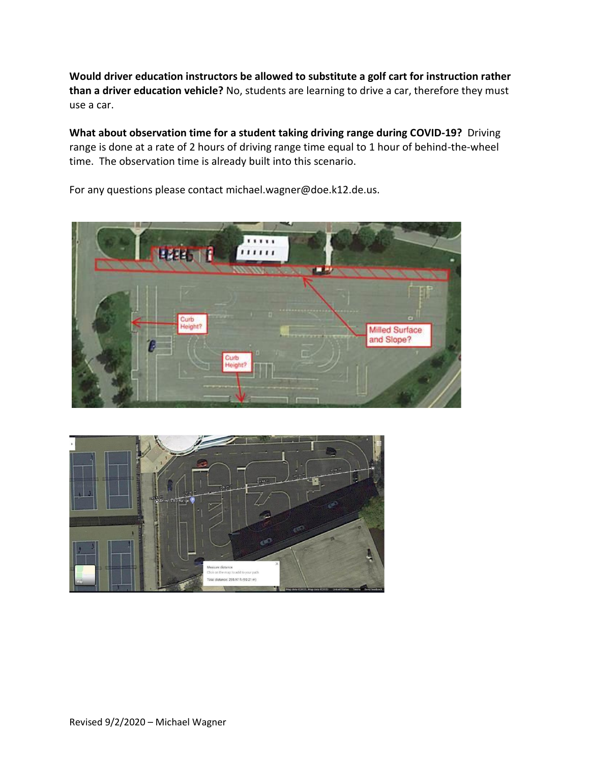**Would driver education instructors be allowed to substitute a golf cart for instruction rather than a driver education vehicle?** No, students are learning to drive a car, therefore they must use a car.

**What about observation time for a student taking driving range during COVID-19?** Driving range is done at a rate of 2 hours of driving range time equal to 1 hour of behind-the-wheel time. The observation time is already built into this scenario.



For any questions please contact michael.wagner@doe.k12.de.us.